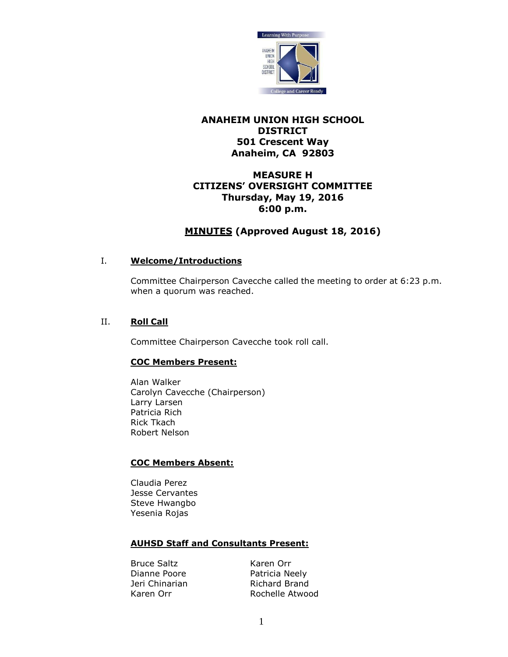

# **ANAHEIM UNION HIGH SCHOOL DISTRICT 501 Crescent Way Anaheim, CA 92803**

# **MEASURE H CITIZENS' OVERSIGHT COMMITTEE Thursday, May 19, 2016 6:00 p.m.**

# **MINUTES (Approved August 18, 2016)**

# I. **Welcome/Introductions**

Committee Chairperson Cavecche called the meeting to order at 6:23 p.m. when a quorum was reached.

# II. **Roll Call**

Committee Chairperson Cavecche took roll call.

# **COC Members Present:**

Alan Walker Carolyn Cavecche (Chairperson) Larry Larsen Patricia Rich Rick Tkach Robert Nelson

# **COC Members Absent:**

Claudia Perez Jesse Cervantes Steve Hwangbo Yesenia Rojas

# **AUHSD Staff and Consultants Present:**

Bruce Saltz Karen Orr Dianne Poore Patricia Neely

Jeri Chinarian Richard Brand Karen Orr **Rochelle Atwood**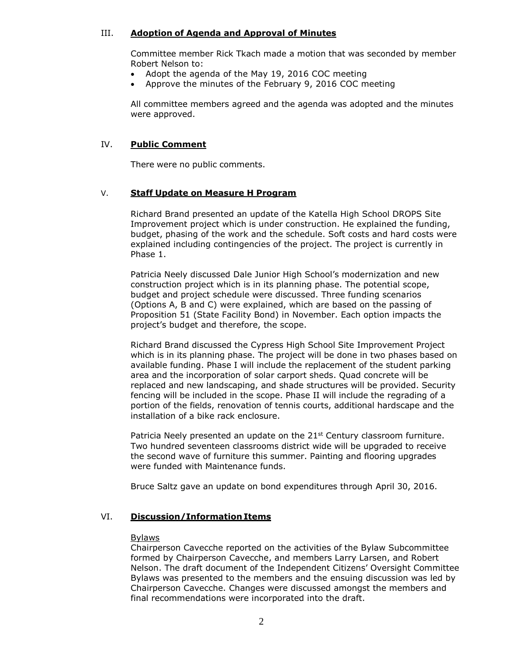### III. **Adoption of Agenda and Approval of Minutes**

Committee member Rick Tkach made a motion that was seconded by member Robert Nelson to:

- Adopt the agenda of the May 19, 2016 COC meeting
- Approve the minutes of the February 9, 2016 COC meeting

All committee members agreed and the agenda was adopted and the minutes were approved.

### IV. **Public Comment**

There were no public comments.

#### V. **Staff Update on Measure H Program**

Richard Brand presented an update of the Katella High School DROPS Site Improvement project which is under construction. He explained the funding, budget, phasing of the work and the schedule. Soft costs and hard costs were explained including contingencies of the project. The project is currently in Phase 1.

Patricia Neely discussed Dale Junior High School's modernization and new construction project which is in its planning phase. The potential scope, budget and project schedule were discussed. Three funding scenarios (Options A, B and C) were explained, which are based on the passing of Proposition 51 (State Facility Bond) in November. Each option impacts the project's budget and therefore, the scope.

Richard Brand discussed the Cypress High School Site Improvement Project which is in its planning phase. The project will be done in two phases based on available funding. Phase I will include the replacement of the student parking area and the incorporation of solar carport sheds. Quad concrete will be replaced and new landscaping, and shade structures will be provided. Security fencing will be included in the scope. Phase II will include the regrading of a portion of the fields, renovation of tennis courts, additional hardscape and the installation of a bike rack enclosure.

Patricia Neely presented an update on the  $21^{st}$  Century classroom furniture. Two hundred seventeen classrooms district wide will be upgraded to receive the second wave of furniture this summer. Painting and flooring upgrades were funded with Maintenance funds.

Bruce Saltz gave an update on bond expenditures through April 30, 2016.

#### VI. **Discussion/Information Items**

#### Bylaws

Chairperson Cavecche reported on the activities of the Bylaw Subcommittee formed by Chairperson Cavecche, and members Larry Larsen, and Robert Nelson. The draft document of the Independent Citizens' Oversight Committee Bylaws was presented to the members and the ensuing discussion was led by Chairperson Cavecche. Changes were discussed amongst the members and final recommendations were incorporated into the draft.